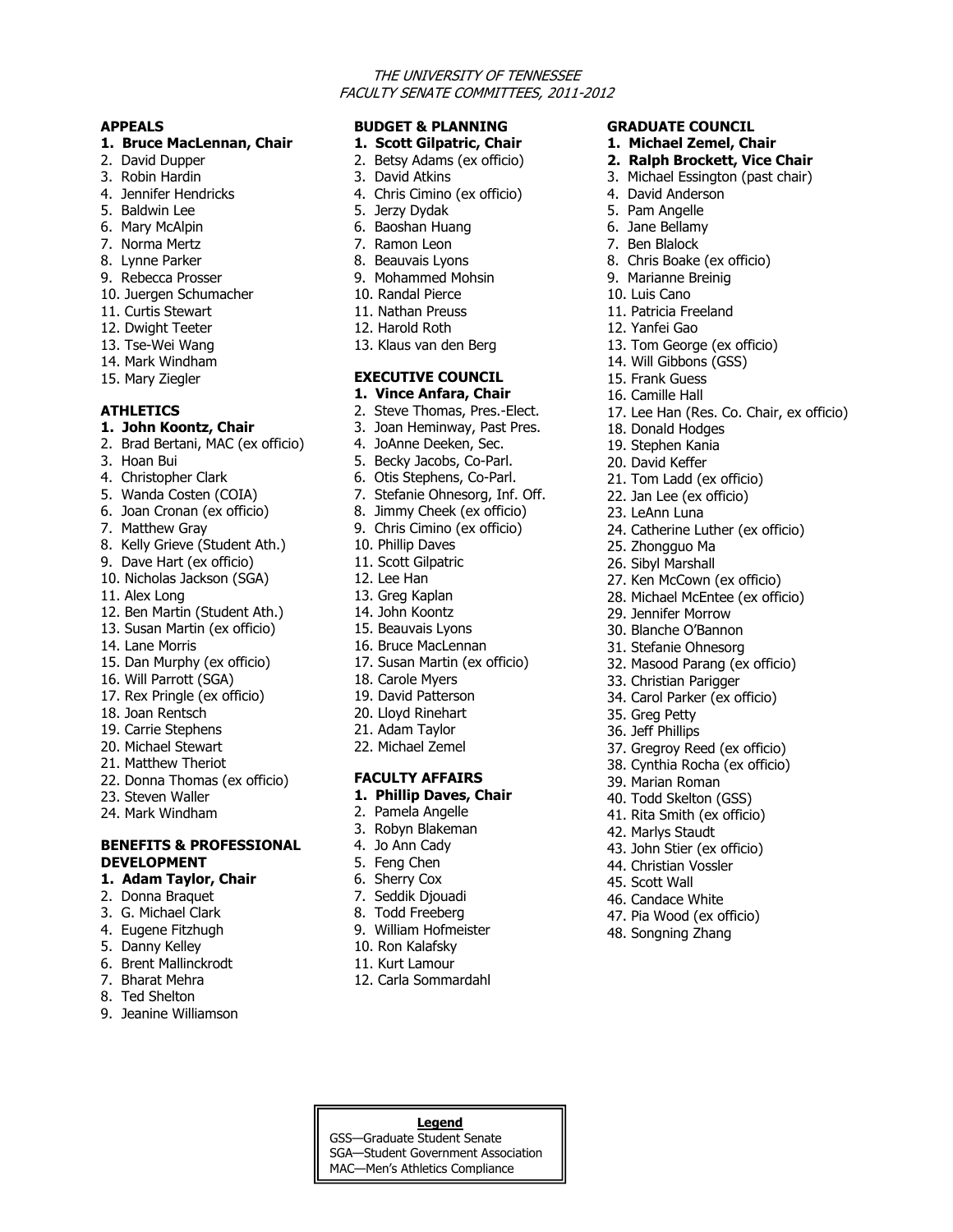## THE UNIVERSITY OF TENNESSEE FACULTY SENATE COMMITTEES, 2011-2012

**GRADUATE COUNCIL 1. Michael Zemel, Chair 2. Ralph Brockett, Vice Chair** 3. Michael Essington (past chair)

8. Chris Boake (ex officio) 9. Marianne Breinig 10. Luis Cano 11. Patricia Freeland 12. Yanfei Gao

13. Tom George (ex officio) 14. Will Gibbons (GSS) 15. Frank Guess 16. Camille Hall

18. Donald Hodges 19. Stephen Kania 20. David Keffer

25. Zhongguo Ma 26. Sibyl Marshall

29. Jennifer Morrow 30. Blanche O'Bannon 31. Stefanie Ohnesorg

33. Christian Parigger 34. Carol Parker (ex officio)

35. Greg Petty 36. Jeff Phillips

39. Marian Roman 40. Todd Skelton (GSS) 41. Rita Smith (ex officio) 42. Marlys Staudt 43. John Stier (ex officio) 44. Christian Vossler 45. Scott Wall 46. Candace White 47. Pia Wood (ex officio) 48. Songning Zhang

21. Tom Ladd (ex officio) 22. Jan Lee (ex officio) 23. LeAnn Luna

24. Catherine Luther (ex officio)

27. Ken McCown (ex officio) 28. Michael McEntee (ex officio)

32. Masood Parang (ex officio)

37. Gregroy Reed (ex officio) 38. Cynthia Rocha (ex officio)

17. Lee Han (Res. Co. Chair, ex officio)

4. David Anderson 5. Pam Angelle 6. Jane Bellamy 7. Ben Blalock

#### **APPEALS**

#### **1. Bruce MacLennan, Chair**

- 2. David Dupper
- 3. Robin Hardin
- 4. Jennifer Hendricks
- 5. Baldwin Lee
- 6. Mary McAlpin
- 7. Norma Mertz
- 8. Lynne Parker
- 9. Rebecca Prosser
- 10. Juergen Schumacher
- 11. Curtis Stewart
- 12. Dwight Teeter
- 13. Tse-Wei Wang
- 14. Mark Windham
- 15. Mary Ziegler

## **ATHLETICS**

#### **1. John Koontz, Chair**

- 2. Brad Bertani, MAC (ex officio)
- 3. Hoan Bui
- 4. Christopher Clark
- 5. Wanda Costen (COIA)
- 6. Joan Cronan (ex officio)
- 7. Matthew Gray
- 8. Kelly Grieve (Student Ath.)
- 9. Dave Hart (ex officio)
- 10. Nicholas Jackson (SGA)
- 11. Alex Long
- 12. Ben Martin (Student Ath.)
- 13. Susan Martin (ex officio)
- 14. Lane Morris
- 15. Dan Murphy (ex officio)
- 16. Will Parrott (SGA)
- 17. Rex Pringle (ex officio)
- 18. Joan Rentsch
- 19. Carrie Stephens
- 20. Michael Stewart
- 21. Matthew Theriot
- 22. Donna Thomas (ex officio)
- 23. Steven Waller
- 24. Mark Windham

## **BENEFITS & PROFESSIONAL DEVELOPMENT**

#### **1. Adam Taylor, Chair**

- 2. Donna Braquet
- 3. G. Michael Clark
- 4. Eugene Fitzhugh
- 5. Danny Kelley
- 6. Brent Mallinckrodt
- 7. Bharat Mehra
- 8. Ted Shelton
- 9. Jeanine Williamson

# **BUDGET & PLANNING**

- **1. Scott Gilpatric, Chair**
- 2. Betsy Adams (ex officio)
- 3. David Atkins
- 4. Chris Cimino (ex officio)
- 5. Jerzy Dydak
- 6. Baoshan Huang
- 7. Ramon Leon
- 8. Beauvais Lyons
- 9. Mohammed Mohsin
- 10. Randal Pierce
- 11. Nathan Preuss
- 12. Harold Roth
- 13. Klaus van den Berg

# **EXECUTIVE COUNCIL**

- **1. Vince Anfara, Chair**
- 2. Steve Thomas, Pres.-Elect.
- 3. Joan Heminway, Past Pres.
- 4. JoAnne Deeken, Sec.
- 5. Becky Jacobs, Co-Parl.
- 6. Otis Stephens, Co-Parl.
- 7. Stefanie Ohnesorg, Inf. Off.
- 8. Jimmy Cheek (ex officio)
- 9. Chris Cimino (ex officio)
- 10. Phillip Daves
- 11. Scott Gilpatric
- 12. Lee Han
- 13. Greg Kaplan
- 14. John Koontz
- 15. Beauvais Lyons
- 16. Bruce MacLennan
- 17. Susan Martin (ex officio)
- 18. Carole Myers
- 19. David Patterson
- 20. Lloyd Rinehart
- 21. Adam Taylor
- 22. Michael Zemel

## **FACULTY AFFAIRS**

- **1. Phillip Daves, Chair**
- 2. Pamela Angelle
- 3. Robyn Blakeman
- 4. Jo Ann Cady
- 5. Feng Chen
- 6. Sherry Cox
- 7. Seddik Djouadi
- 8. Todd Freeberg
- 9. William Hofmeister

12. Carla Sommardahl

**Legend** GSS—Graduate Student Senate SGA—Student Government Association MAC—Men's Athletics Compliance

10. Ron Kalafsky 11. Kurt Lamour